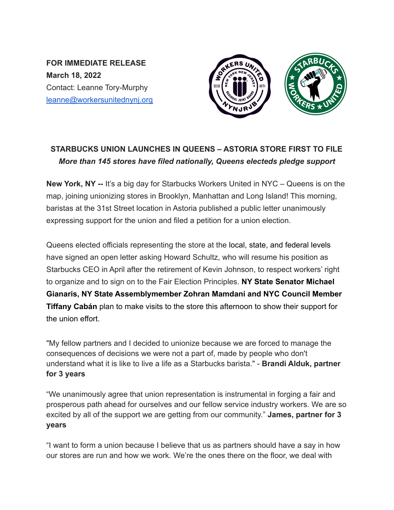**FOR IMMEDIATE RELEASE March 18, 2022** Contact: Leanne Tory-Murphy leanne@workersunitednynj.org



## **STARBUCKS UNION LAUNCHES IN QUEENS – ASTORIA STORE FIRST TO FILE** *More than 145 stores have filed nationally, Queens electeds pledge support*

**New York, NY --** It's a big day for Starbucks Workers United in NYC – Queens is on the map, joining unionizing stores in Brooklyn, Manhattan and Long Island! This morning, baristas at the 31st Street location in Astoria published a public letter unanimously expressing support for the union and filed a petition for a union election.

Queens elected officials representing the store at the local, state, and federal levels have signed an open letter asking Howard Schultz, who will resume his position as Starbucks CEO in April after the retirement of Kevin Johnson, to respect workers' right to organize and to sign on to the Fair Election Principles. **NY State Senator Michael Gianaris, NY State Assemblymember Zohran Mamdani and NYC Council Member Tiffany Cabán** plan to make visits to the store this afternoon to show their support for the union effort.

"My fellow partners and I decided to unionize because we are forced to manage the consequences of decisions we were not a part of, made by people who don't understand what it is like to live a life as a Starbucks barista." - **Brandi Alduk, partner for 3 years**

"We unanimously agree that union representation is instrumental in forging a fair and prosperous path ahead for ourselves and our fellow service industry workers. We are so excited by all of the support we are getting from our community." **James, partner for 3 years**

"I want to form a union because I believe that us as partners should have a say in how our stores are run and how we work. We're the ones there on the floor, we deal with